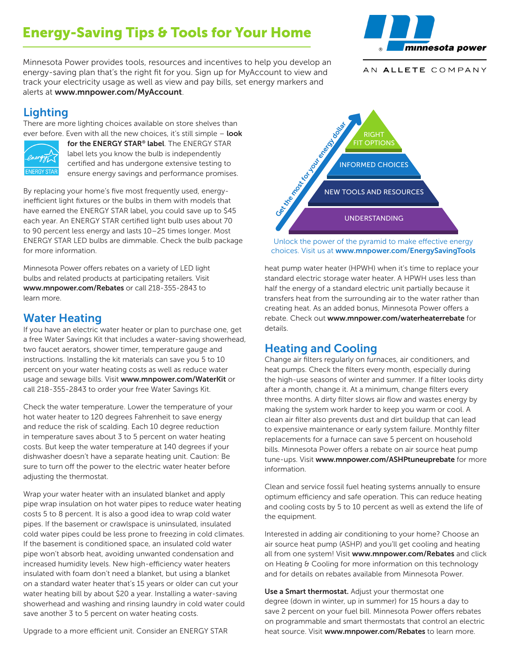# Energy-Saving Tips & Tools for Your Home



Minnesota Power provides tools, resources and incentives to help you develop an energy-saving plan that's the right fit for you. Sign up for MyAccount to view and track your electricity usage as well as view and pay bills, set energy markers and alerts at www.mnpower.com/MyAccount.

#### AN ALLETE COMPANY

# **Lighting**

There are more lighting choices available on store shelves than ever before. Even with all the new choices, it's still simple - look



for the ENERGY STAR® label. The ENERGY STAR label lets you know the bulb is independently certified and has undergone extensive testing to ensure energy savings and performance promises.

By replacing your home's five most frequently used, energyinefficient light fixtures or the bulbs in them with models that have earned the ENERGY STAR label, you could save up to \$45 each year. An ENERGY STAR certified light bulb uses about 70 to 90 percent less energy and lasts 10–25 times longer. Most ENERGY STAR LED bulbs are dimmable. Check the bulb package for more information.

Minnesota Power offers rebates on a variety of LED light bulbs and related products at participating retailers. Visit www.mnpower.com/Rebates or call 218-355-2843 to learn more.

#### Water Heating

If you have an electric water heater or plan to purchase one, get a free Water Savings Kit that includes a water-saving showerhead, two faucet aerators, shower timer, temperature gauge and instructions. Installing the kit materials can save you 5 to 10 percent on your water heating costs as well as reduce water usage and sewage bills. Visit www.mnpower.com/WaterKit or call 218-355-2843 to order your free Water Savings Kit.

Check the water temperature. Lower the temperature of your hot water heater to 120 degrees Fahrenheit to save energy and reduce the risk of scalding. Each 10 degree reduction in temperature saves about 3 to 5 percent on water heating costs. But keep the water temperature at 140 degrees if your dishwasher doesn't have a separate heating unit. Caution: Be sure to turn off the power to the electric water heater before adjusting the thermostat.

Wrap your water heater with an insulated blanket and apply pipe wrap insulation on hot water pipes to reduce water heating costs 5 to 8 percent. It is also a good idea to wrap cold water pipes. If the basement or crawlspace is uninsulated, insulated cold water pipes could be less prone to freezing in cold climates. If the basement is conditioned space, an insulated cold water pipe won't absorb heat, avoiding unwanted condensation and increased humidity levels. New high-efficiency water heaters insulated with foam don't need a blanket, but using a blanket on a standard water heater that's 15 years or older can cut your water heating bill by about \$20 a year. Installing a water-saving showerhead and washing and rinsing laundry in cold water could save another 3 to 5 percent on water heating costs.

NEW TOOLS AND RESOURCES INFORMED CHOICES RIGHT FIT OPTIONS NEW TOOLS AND RESOL

Unlock the power of the pyramid to make effective energy choices. Visit us at www.mnpower.com/EnergySavingTools

heat pump water heater (HPWH) when it's time to replace your standard electric storage water heater. A HPWH uses less than half the energy of a standard electric unit partially because it transfers heat from the surrounding air to the water rather than creating heat. As an added bonus, Minnesota Power offers a rebate. Check out www.mnpower.com/waterheaterrebate for details.

### Heating and Cooling

Change air filters regularly on furnaces, air conditioners, and heat pumps. Check the filters every month, especially during the high-use seasons of winter and summer. If a filter looks dirty after a month, change it. At a minimum, change filters every three months. A dirty filter slows air flow and wastes energy by making the system work harder to keep you warm or cool. A clean air filter also prevents dust and dirt buildup that can lead to expensive maintenance or early system failure. Monthly filter replacements for a furnace can save 5 percent on household bills. Minnesota Power offers a rebate on air source heat pump tune-ups. Visit www.mnpower.com/ASHPtuneuprebate for more information.

Clean and service fossil fuel heating systems annually to ensure optimum efficiency and safe operation. This can reduce heating and cooling costs by 5 to 10 percent as well as extend the life of the equipment.

Interested in adding air conditioning to your home? Choose an air source heat pump (ASHP) and you'll get cooling and heating all from one system! Visit www.mnpower.com/Rebates and click on Heating & Cooling for more information on this technology and for details on rebates available from Minnesota Power.

Use a Smart thermostat. Adjust your thermostat one degree (down in winter, up in summer) for 15 hours a day to save 2 percent on your fuel bill. Minnesota Power offers rebates on programmable and smart thermostats that control an electric heat source. Visit www.mnpower.com/Rebates to learn more.

Upgrade to a more efficient unit. Consider an ENERGY STAR